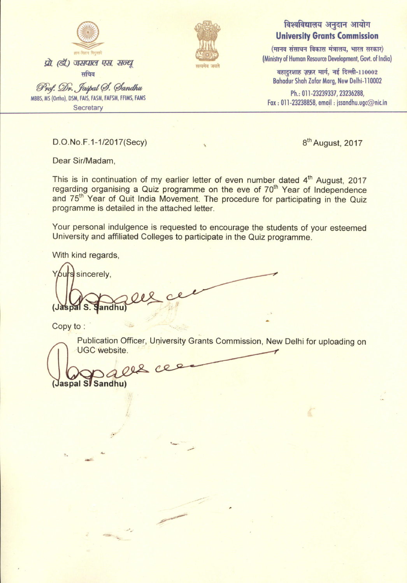

## सत्यमेव जय<mark>त</mark>े

## विश्वविद्यालय अनुदान आयोग **University Grants Commission**

 $($ मानव संसाधन विकास मंत्रालय, भारत सरकार) (Ministry of Human Resource Development, Govt. of India)

बहादुरशाह ज़फ़र मार्ग, नई दिल्ली- $110002$ Bohodur Shoh Zofor Morg, New Delhi-l10002

Ph.: 011-23239337, 23236288,  $\mathsf{Fax}:\mathsf{011}\text{-}23238858,$  email  $:\mathsf{psan}$ dhu.ugc $\oslash$ nic.ii

D.O. No. F. 1-1/2017 (Secy) 8<sup>th</sup> August, 2017

Dear Sir/Madam,

This is in continuation of my earlier letter of even number dated 4<sup>th</sup> [August,](http://www.ugc.ac.in/pdfnews/5972139_UGC-letter-regarding-India-Freedom-Struggle.pdf) 2017 regarding organising a Quiz programme on the eve of 70<sup>th</sup> Year of Independence and 75<sup>th</sup> Year of Quit India Movement. The procedure for participating in the Quiz programme is detailed in the attached letter.

Your personal indulgence is requested to encourage the students of your esteemed University and affiliated Colleges to participate in the Quiz programme.

With kind regards,

s sincerely, (Jaspal S. andhu

Copy to :

Publication Officer, University Grants Commission, New Delhi for uploading on UGC website.

 $208$ Jaspal S/Sandhu)